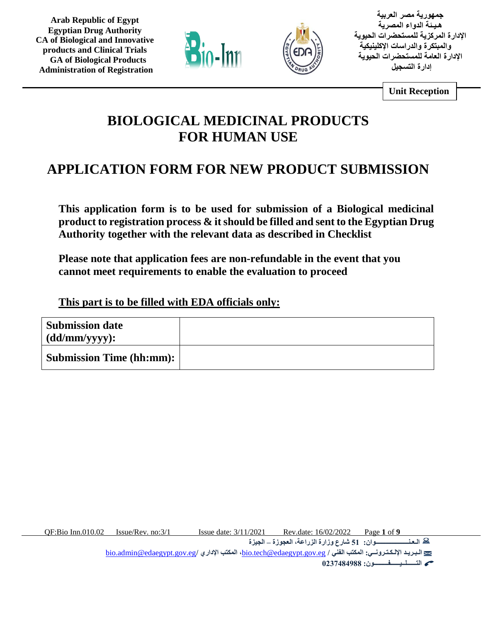



**جمهورية مصر العربية هـيـئة الدواء المصرية اإلدارة المركزية للمستحضرات الحيوية والمبتكرة والدراسات اإلكلينيكية اإلدارة العامة للمستحضرات الحيوية إدارة التسجيل** 

**Unit Reception**

# **BIOLOGICAL MEDICINAL PRODUCTS FOR HUMAN USE**

# **APPLICATION FORM FOR NEW PRODUCT SUBMISSION**

**This application form is to be used for submission of a Biological medicinal product to registration process & it should be filled and sent to the Egyptian Drug Authority together with the relevant data as described in Checklist** 

**Please note that application fees are non-refundable in the event that you cannot meet requirements to enable the evaluation to proceed** 

**This part is to be filled with EDA officials only:**

| <b>Submission date</b><br>$(dd/\text{mm/yyy}):$ |  |
|-------------------------------------------------|--|
| <b>Submission Time (hh:mm):</b>                 |  |

QF:Bio Inn.010.02 Issue/Rev. no:3/1 Issue date: 3/11/2021 Rev.date: 16/02/2022 Page **1** of **9**

**الـعـنـــــــــــــــــــــوان: 51 شارع وزارة الزراعة، العجوزة – الجيزة** 

[bio.admin@edaegypt.gov.eg](mailto:bio.admin@edaegypt.gov.eg)**/ اإلداري المكتب ،**[bio.tech@edaegypt.gov.eg](mailto:bio.tech@edaegypt.gov.eg) **/ الفني المكتب :اإللـكـتـرونــي الـبـريـد**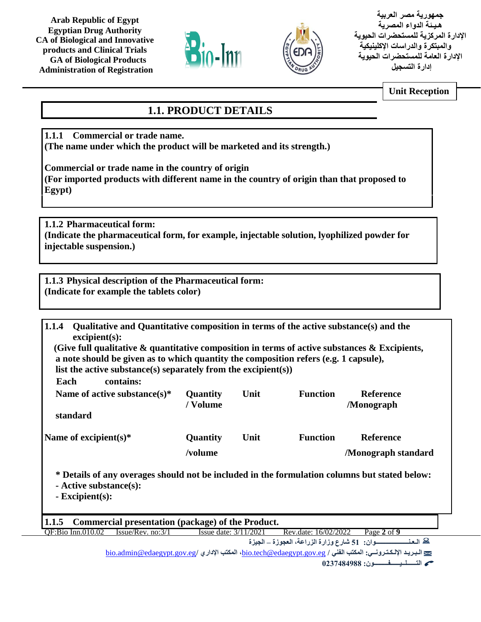



**جمهورية مصر العربية هـيـئة الدواء المصرية اإلدارة المركزية للمستحضرات الحيوية والمبتكرة والدراسات اإلكلينيكية اإلدارة العامة للمستحضرات الحيوية إدارة التسجيل** 

**Unit Reception**

# **1.1. PRODUCT DETAILS**

**1.1.1 Commercial or trade name. (The name under which the product will be marketed and its strength.)** 

**Commercial or trade name in the country of origin (For imported products with different name in the country of origin than that proposed to Egypt)**

**1.1.2 Pharmaceutical form: (Indicate the pharmaceutical form, for example, injectable solution, lyophilized powder for injectable suspension.)**

**1.1.3 Physical description of the Pharmaceutical form: (Indicate for example the tablets color)**

| 1.1.4<br>Qualitative and Quantitative composition in terms of the active substance(s) and the<br>excipient(s):                                                |                       |      |                      |                                                                                                          |
|---------------------------------------------------------------------------------------------------------------------------------------------------------------|-----------------------|------|----------------------|----------------------------------------------------------------------------------------------------------|
| (Give full qualitative $\&$ quantitative composition in terms of active substances $\&$ Excipients,                                                           |                       |      |                      |                                                                                                          |
| a note should be given as to which quantity the composition refers (e.g. 1 capsule),                                                                          |                       |      |                      |                                                                                                          |
|                                                                                                                                                               |                       |      |                      |                                                                                                          |
| list the active substance(s) separately from the excipient(s))                                                                                                |                       |      |                      |                                                                                                          |
| contains:<br>Each                                                                                                                                             |                       |      |                      |                                                                                                          |
| Name of active substance(s)*                                                                                                                                  | Quantity              | Unit | <b>Function</b>      | <b>Reference</b>                                                                                         |
|                                                                                                                                                               | / Volume              |      |                      | /Monograph                                                                                               |
| standard                                                                                                                                                      |                       |      |                      |                                                                                                          |
|                                                                                                                                                               |                       |      |                      |                                                                                                          |
|                                                                                                                                                               |                       |      |                      |                                                                                                          |
| Name of excipient $(s)^*$                                                                                                                                     | Quantity              | Unit | <b>Function</b>      | Reference                                                                                                |
|                                                                                                                                                               | /volume               |      |                      | <b>Monograph standard</b>                                                                                |
| * Details of any overages should not be included in the formulation columns but stated below:<br>- Active substance(s):<br>$\overline{\text{Excipient}(s)}$ : |                       |      |                      |                                                                                                          |
| Commercial presentation (package) of the Product.<br>1.1.5                                                                                                    |                       |      |                      |                                                                                                          |
| Issue/Rev. no:3/1<br>OF:Bio Inn.010.02                                                                                                                        | Issue date: 3/11/2021 |      | Rev.date: 16/02/2022 | Page 2 of 9                                                                                              |
|                                                                                                                                                               |                       |      |                      | ه الـعنـــــــــــــــوان: 51 شارع وزارة الزراعة، العجوزة _ الجيزة                                       |
|                                                                                                                                                               |                       |      |                      | لتسليله الإلكترونسي: المكتب الفني / bio.tech@edaegypt.gov.eg، المكتب الإداري / bio.admin@edaegypt.gov.eg |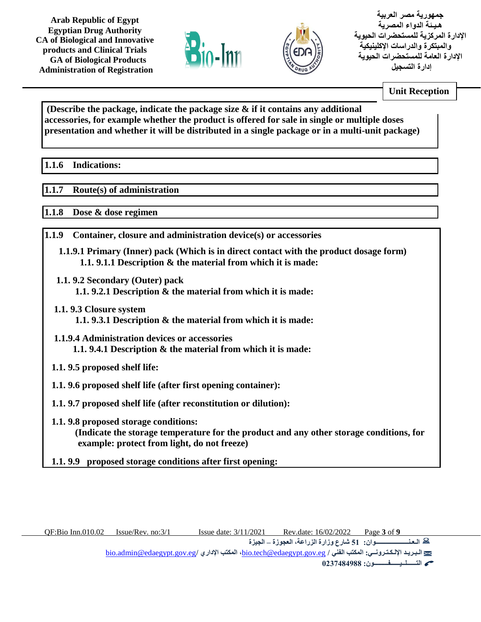



**جمهورية مصر العربية هـيـئة الدواء المصرية اإلدارة المركزية للمستحضرات الحيوية والمبتكرة والدراسات اإلكلينيكية اإلدارة العامة للمستحضرات الحيوية إدارة التسجيل** 

**Unit Reception**

**(Describe the package, indicate the package size & if it contains any additional accessories, for example whether the product is offered for sale in single or multiple doses presentation and whether it will be distributed in a single package or in a multi-unit package)**

#### **1.1.6 Indications:**   $1.1.6$

#### **1.1.7 Route(s) of administration**

**1.1.8 Dose & dose regimen** 

- **1.1.9 Container, closure and administration device(s) or accessories**
	- **1.1.9.1 Primary (Inner) pack (Which is in direct contact with the product dosage form) 1.1. 9.1.1 Description & the material from which it is made:**
	- **1.1. 9.2 Secondary (Outer) pack 1.1. 9.2.1 Description & the material from which it is made:**
	- **1.1. 9.3 Closure system 1.1. 9.3.1 Description & the material from which it is made:**
	- **1.1.9.4 Administration devices or accessories 1.1. 9.4.1 Description & the material from which it is made:**
	- **1.1. 9.5 proposed shelf life:**
	- **1.1. 9.6 proposed shelf life (after first opening container):**
	- **1.1. 9.7 proposed shelf life (after reconstitution or dilution):**
	- **1.1. 9.8 proposed storage conditions: (Indicate the storage temperature for the product and any other storage conditions, for example: protect from light, do not freeze)**
	- **1.1. 9.9 proposed storage conditions after first opening:**

**الـعـنـــــــــــــــــــــوان: 51 شارع وزارة الزراعة، العجوزة – الجيزة** 

[bio.admin@edaegypt.gov.eg](mailto:bio.admin@edaegypt.gov.eg)**/ اإلداري المكتب ،**[bio.tech@edaegypt.gov.eg](mailto:bio.tech@edaegypt.gov.eg) **/ الفني المكتب :اإللـكـتـرونــي الـبـريـد**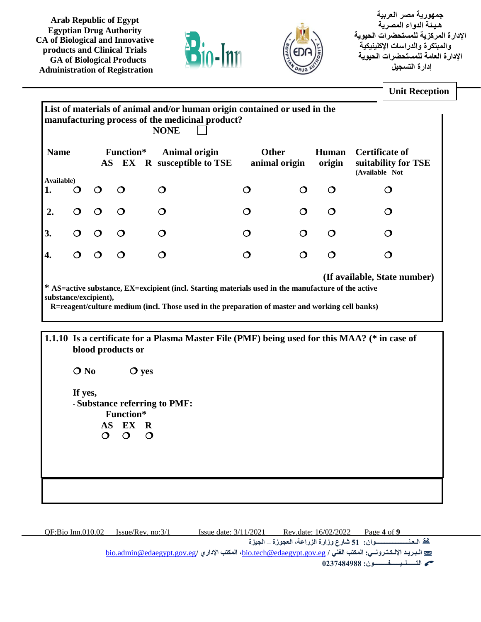



**جمهورية مصر العربية هـيـئة الدواء المصرية اإلدارة المركزية للمستحضرات الحيوية والمبتكرة والدراسات اإلكلينيكية اإلدارة العامة للمستحضرات الحيوية إدارة التسجيل** 

|                  |         |                       |                                                |                                                                                                                                                                                                  |   |                               |                        | <b>Unit Reception</b>                                          |
|------------------|---------|-----------------------|------------------------------------------------|--------------------------------------------------------------------------------------------------------------------------------------------------------------------------------------------------|---|-------------------------------|------------------------|----------------------------------------------------------------|
|                  |         |                       |                                                | List of materials of animal and/or human origin contained or used in the<br>manufacturing process of the medicinal product?<br><b>NONE</b>                                                       |   |                               |                        |                                                                |
| <b>Name</b>      |         |                       | Function*                                      | <b>Animal origin</b><br>AS EX R susceptible to TSE                                                                                                                                               |   | <b>Other</b><br>animal origin | <b>Human</b><br>origin | <b>Certificate of</b><br>suitability for TSE<br>(Available Not |
| Available)<br>1. | O       | $\mathsf{O}$          | O                                              | $\mathcal{O}$                                                                                                                                                                                    | O | $\mathbf O$                   | $\mathsf{O}$           | $\mathsf{O}$                                                   |
| 2.               | $\circ$ | $\circ$               | O                                              | O                                                                                                                                                                                                | O | $\mathbf O$                   | $\mathcal{O}$          | $\mathbf{O}$                                                   |
| 3.               | O       | $\mathbf O$           | O                                              | O                                                                                                                                                                                                | O | O                             | $\mathcal{O}$          | O                                                              |
| 4.               | O       | $\circ$               | O                                              | $\mathcal{O}$                                                                                                                                                                                    | O | $\mathbf O$                   | $\mathcal{O}$          | $\mathcal{O}$                                                  |
|                  |         | substance/excipient), | blood products or                              | R=reagent/culture medium (incl. Those used in the preparation of master and working cell banks)<br>1.1.10 Is a certificate for a Plasma Master File (PMF) being used for this MAA? (* in case of |   |                               |                        |                                                                |
|                  | $O$ No  |                       | $\mathbf{O}$ yes                               |                                                                                                                                                                                                  |   |                               |                        |                                                                |
|                  | If yes, |                       | Function*<br>AS EX R<br>$\Omega$ $\Omega$<br>⌒ | - Substance referring to PMF:                                                                                                                                                                    |   |                               |                        |                                                                |
|                  |         |                       |                                                |                                                                                                                                                                                                  |   |                               |                        |                                                                |

QF:Bio Inn.010.02 Issue/Rev. no:3/1 Issue date: 3/11/2021 Rev.date: 16/02/2022 Page **4** of **9**

**الـعـنـــــــــــــــــــــوان: 51 شارع وزارة الزراعة، العجوزة – الجيزة** 

[bio.admin@edaegypt.gov.eg](mailto:bio.admin@edaegypt.gov.eg)**/ اإلداري المكتب ،**[bio.tech@edaegypt.gov.eg](mailto:bio.tech@edaegypt.gov.eg) **/ الفني المكتب :اإللـكـتـرونــي الـبـريـد**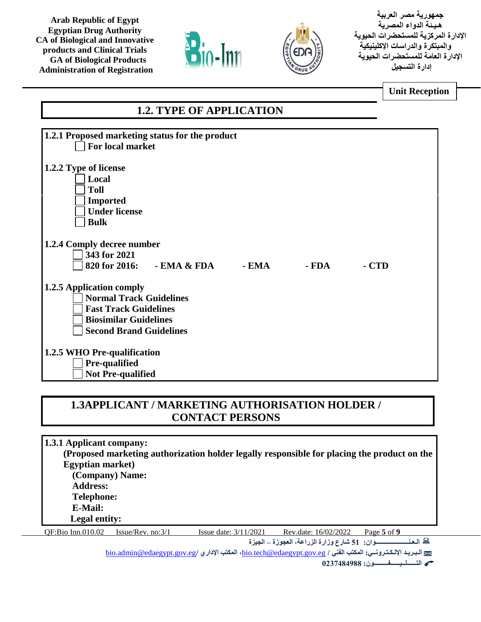



**جمهورية مصر العربية هـيـئة الدواء المصرية اإلدارة المركزية للمستحضرات الحيوية والمبتكرة والدراسات اإلكلينيكية اإلدارة العامة للمستحضرات الحيوية إدارة التسجيل** 

**Unit Reception**

## **1.2. TYPE OF APPLICATION**

| 1.2.1 Proposed marketing status for the product           |  |
|-----------------------------------------------------------|--|
| For local market                                          |  |
|                                                           |  |
|                                                           |  |
| 1.2.2 Type of license                                     |  |
| Local                                                     |  |
|                                                           |  |
| <b>Toll</b>                                               |  |
| <b>Imported</b>                                           |  |
| <b>Under license</b>                                      |  |
|                                                           |  |
| <b>Bulk</b>                                               |  |
|                                                           |  |
| 1.2.4 Comply decree number                                |  |
|                                                           |  |
| 343 for 2021                                              |  |
| 820 for 2016:<br>- EMA & FDA<br>- FDA<br>$- EMA$<br>- CTD |  |
|                                                           |  |
|                                                           |  |
| 1.2.5 Application comply                                  |  |
| <b>Normal Track Guidelines</b>                            |  |
| <b>Fast Track Guidelines</b>                              |  |
|                                                           |  |
| <b>Biosimilar Guidelines</b>                              |  |
| <b>Second Brand Guidelines</b>                            |  |
|                                                           |  |
|                                                           |  |
| 1.2.5 WHO Pre-qualification                               |  |
| Pre-qualified                                             |  |
| <b>Not Pre-qualified</b>                                  |  |
|                                                           |  |

### **1.3APPLICANT / MARKETING AUTHORISATION HOLDER / CONTACT PERSONS**

QF:Bio Inn.010.02 Issue/Rev. no:3/1 Issue date: 3/11/2021 Rev.date: 16/02/2022 Page **5** of **9 الـعـنـــــــــــــــــــــوان: 51 شارع وزارة الزراعة، العجوزة – الجيزة 1.3.1 Applicant company: (Proposed marketing authorization holder legally responsible for placing the product on the Egyptian market) (Company) Name: Address: Telephone: E-Mail: Legal entity:**

[bio.admin@edaegypt.gov.eg](mailto:bio.admin@edaegypt.gov.eg)**/ اإلداري المكتب ،**[bio.tech@edaegypt.gov.eg](mailto:bio.tech@edaegypt.gov.eg) **/ الفني المكتب :اإللـكـتـرونــي الـبـريـد**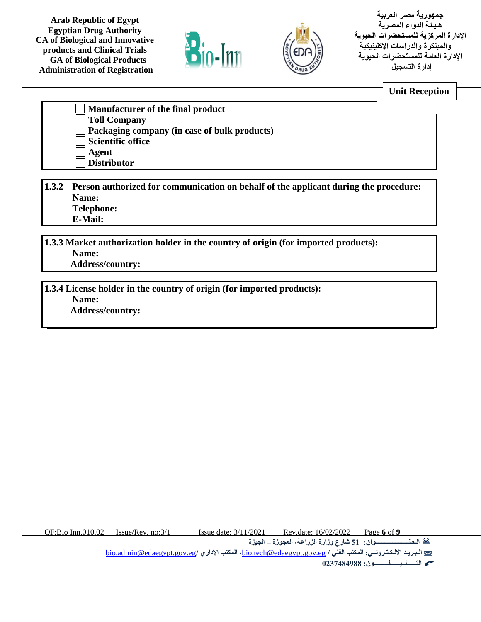



**جمهورية مصر العربية هـيـئة الدواء المصرية اإلدارة المركزية للمستحضرات الحيوية والمبتكرة والدراسات اإلكلينيكية اإلدارة العامة للمستحضرات الحيوية إدارة التسجيل** 

**Unit Reception**

| Manufacturer of the final product                   |
|-----------------------------------------------------|
| <b>Toll Company</b>                                 |
| <b>Packaging company (in case of bulk products)</b> |
| Scientific office                                   |
| Agent                                               |
| <b>Distributor</b>                                  |

**1.3.2 Person authorized for communication on behalf of the applicant during the procedure: Name: Telephone: E-Mail:**

**1.3.3 Market authorization holder in the country of origin (for imported products): Name: Address/country:** 

**1.3.4 License holder in the country of origin (for imported products): Name: Address/country:** 

QF:Bio Inn.010.02 Issue/Rev. no:3/1 Issue date: 3/11/2021 Rev.date: 16/02/2022 Page **6** of **9**

**الـعـنـــــــــــــــــــــوان: 51 شارع وزارة الزراعة، العجوزة – الجيزة** 

[bio.admin@edaegypt.gov.eg](mailto:bio.admin@edaegypt.gov.eg)**/ اإلداري المكتب ،**[bio.tech@edaegypt.gov.eg](mailto:bio.tech@edaegypt.gov.eg) **/ الفني المكتب :اإللـكـتـرونــي الـبـريـد**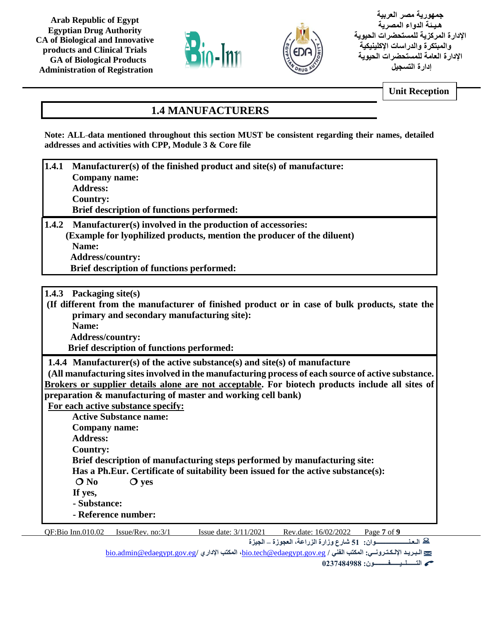



**جمهورية مصر العربية هـيـئة الدواء المصرية اإلدارة المركزية للمستحضرات الحيوية والمبتكرة والدراسات اإلكلينيكية اإلدارة العامة للمستحضرات الحيوية إدارة التسجيل** 

**Unit Reception**

# **1.4 MANUFACTURERS**

**Note: ALL data mentioned throughout this section MUST be consistent regarding their names, detailed addresses and activities with CPP, Module 3 & Core file** 

- **1.4.1 Manufacturer(s) of the finished product and site(s) of manufacture: Company name: Address: Country: Brief description of functions performed: 1.4.2 Manufacturer(s) involved in the production of accessories:**
- **(Example for lyophilized products, mention the producer of the diluent) Name: Address/country: Brief description of functions performed:**
- **1.4.3 Packaging site(s)**

**(If different from the manufacturer of finished product or in case of bulk products, state the primary and secondary manufacturing site): Name:**

 **Address/country:** 

 **Brief description of functions performed:**

**1.4.4 Manufacturer(s) of the active substance(s) and site(s) of manufacture**

**(All manufacturing sites involved in the manufacturing process of each source of active substance. Brokers or supplier details alone are not acceptable. For biotech products include all sites of preparation & manufacturing of master and working cell bank)**

**For each active substance specify:** 

**Active Substance name: Company name: Address: Country: Brief description of manufacturing steps performed by manufacturing site: Has a Ph.Eur. Certificate of suitability been issued for the active substance(s): O** No **Q** yes **If yes, - Substance: - Reference number:** 

QF:Bio Inn.010.02 Issue/Rev. no:3/1 Issue date: 3/11/2021 Rev.date: 16/02/2022 Page **7** of **9**

**الـعـنـــــــــــــــــــــوان: 51 شارع وزارة الزراعة، العجوزة – الجيزة** 

[bio.admin@edaegypt.gov.eg](mailto:bio.admin@edaegypt.gov.eg)**/ اإلداري المكتب ،**[bio.tech@edaegypt.gov.eg](mailto:bio.tech@edaegypt.gov.eg) **/ الفني المكتب :اإللـكـتـرونــي الـبـريـد**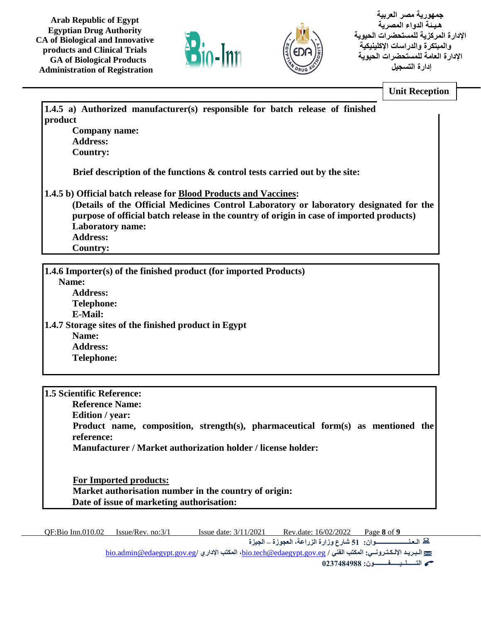



**جمهورية مصر العربية هـيـئة الدواء المصرية اإلدارة المركزية للمستحضرات الحيوية والمبتكرة والدراسات اإلكلينيكية اإلدارة العامة للمستحضرات الحيوية إدارة التسجيل** 

**Unit Reception**

**1.4.5 a) Authorized manufacturer(s) responsible for batch release of finished product Company name: Address: Country: Brief description of the functions & control tests carried out by the site: 1.4.5 b) Official batch release for Blood Products and Vaccines: (Details of the Official Medicines Control Laboratory or laboratory designated for the purpose of official batch release in the country of origin in case of imported products) Laboratory name: Address: Country:**

**1.4.6 Importer(s) of the finished product (for imported Products) Name: Address: Telephone: E-Mail: 1.4.7 Storage sites of the finished product in Egypt Name: Address: Telephone:**

**1.5 Scientific Reference: Reference Name: Edition / year: Product name, composition, strength(s), pharmaceutical form(s) as mentioned the reference: Manufacturer / Market authorization holder / license holder:**

 **For Imported products: Market authorisation number in the country of origin: Date of issue of marketing authorisation:**

QF:Bio Inn.010.02 Issue/Rev. no:3/1 Issue date: 3/11/2021 Rev.date: 16/02/2022 Page **8** of **9 الـعـنـــــــــــــــــــــوان: 51 شارع وزارة الزراعة، العجوزة – الجيزة**  [bio.admin@edaegypt.gov.eg](mailto:bio.admin@edaegypt.gov.eg)**/ اإلداري المكتب ،**[bio.tech@edaegypt.gov.eg](mailto:bio.tech@edaegypt.gov.eg) **/ الفني المكتب :اإللـكـتـرونــي الـبـريـد**